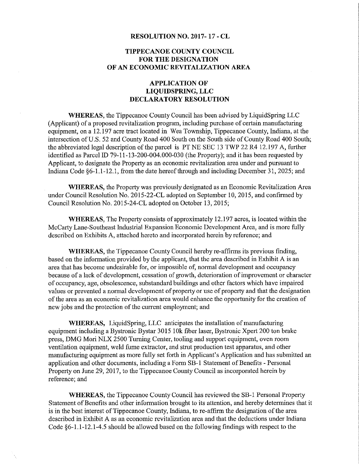## RESOLUTION NO. 2017- 17 - CL

## TIPPECANOE COUNTY COUNCIL FOR THE DESIGNATION OF AN ECONONIIC REVITALIZATION AREA

## APPLICATION OF LIQUIDSPRING, LLC DECLARATORY RESOLUTION

WHEREAS, the Tippecanoe County Council has been advised by LiquidSpring LLC (Applicant) of <sup>a</sup> proposed revitalization program, including purchase of certain manufacturing equipment, on a 12.197 acre tract located in Wea Township, Tippecanoe County, Indiana, at the intersection of U.S. 52 and County Road 400 South on the South side of County Road 400 South; the abbreviated legal description of the parcel is PT NE SEC 13 TWP 22 R4 12.197 A, further identified as Parcel ID 79-11-13-200-004.000-030 (the Property); and it has been requested by Applicant, to designate the Property as an economic revitalization area under and pursuant to Indiana Code §6-l.l-l2.l, from the date hereof through and including December 31, 2025; and

WHEREAS, the Property was previously designated as an Economic Revitalization Area under Council Resolution No. 2015-22-CL adopted on September 10, 2015, and confirmed by Council Resolution No. 2015-24-CL adopted on October 13, 2015;

WHEREAS, The Property consists of approximately 12.197 acres, is located within the McCarty Lane—Southeast Industrial Expansion Economic Development Area, and is more fully described on Exhibits A, attached hereto and incorporated herein by reference; and

WHEREAS, the Tippecanoe County Council hereby re-affirms its previous finding, based on the information provided by the applicant, that the area described in Exhibit A is an area that has become undesirable for, or impossible of, normal development and occupancy because of a lack of development, cessation of growth, deterioration of improvement or character of occupancy, age, obsolescence, substandard buildings and other factors which have impaired values or prevented a normal development of property or use of property and that the designation of the area as an economic revitalization area would enhance the opportunity for the creation of new jobs and the protection of the current employment; and

WHEREAS, LiquidSpring, LLC anticipates the installation of manufacturing equipment including <sup>a</sup> Bystronic Bystar 3015 10k fiber laser, Bystronic Xpert 200 ton brake press, DMG Mori NLX 2500 Turning Center, tooling and support equipment, oven room ventilation equipment, weld fume extractor, and strut production test apparatus, and other manufacturing equipment as more fully set forth in Applicant's Application and has submitted an application and other documents, including a Form SB-1 Statement of Benefits - Personal Property on June 29, 2017, to the Tippecanoe County Council as incorporated herein by reference; and

WHEREAS, the Tippecanoe County Council has reviewed the SB—l Personal Property Statement of Benefits and other information brought to its attention, and hereby determines that it is in the best interest of Tippecanoe County, Indiana, to re-affirm the designation of the area described in Exhibit A as an economic revitalization area and that the deductions under Indiana Code  $\S6-1, 1-12. 1-4.5$  should be allowed based on the following findings with respect to the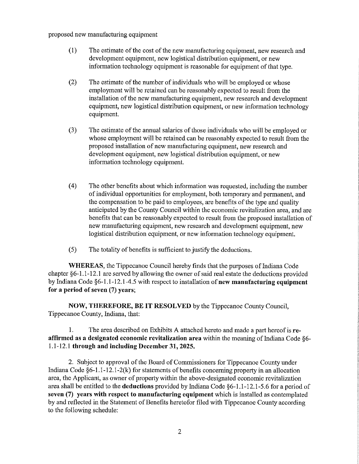proposed new manufacturing equipment

- (1) The estimate of the cost of the new manufacturing equipment, new research and development equipment, new logistical distribution equipment, or new information technology equipment is reasonable for equipment of that type.
- (2) The estimate of the number of individuals who will be employed or whose employment will be retained can be reasonably expected to result from the installation of the new manufacturing equipment, new research and development equipment, new logistical distribution equipment, or new information technology equipment.
- (3) The estimate of the annual salaries of those individuals who will be employed or whose employment will be retained can be reasonably expected to result from the proposed installation of new manufacturing equipment, new research and development equipment, new logistical distribution equipment, or new information technology equipment.
- (4) The other benefits about which information was requested, including the number of individual opportunities for employment, both temporary and permanent, and the compensation to be paid to employees, are benefits of the type and quality anticipated by the County Council within the economic revitalization area, and are benefits that can be reasonably expected to result from the proposed installation of new manufacturing equipment, new research and development equipment, new logistical distribution equipment, or new information technology equipment.
- $(5)$  The totality of benefits is sufficient to justify the deductions.

WHEREAS, the Tippecanoe Council hereby finds that the purposes of Indiana Code chapter §6—1.1~12.1 are served by allowing the owner of said real estate the deductions provided by Indiana Code §6-1.1-12.1-4.5 with respect to installation of new manufacturing equipment for <sup>a</sup> period of seven (7) years;

NOW, THEREFORE, BE IT RESOLVED by the Tippecanoe County Council, Tippecanoe County, Indiana, that:

l. The area described on Exhibits <sup>A</sup> attached hereto and made <sup>a</sup> part hereof is reaffirmed as <sup>a</sup> designated economic revitalization area within the meaning of Indiana Code §6~ 1.1-12.l through and including December 31, 2025.

2. Subject to approval of the Board of Commissioners for Tippecanoe County under Indiana Code §6—l.l-12.l-2(k) for statements of benefits concerning property in an allocation area, the Applicant, as owner of property within the above—designated economic revitalization area shall be entitled to the deductions provided by Indiana Code §6—l.1-12.l—5.6 for <sup>a</sup> period of seven (7) years with respect to manufacturing equipment which is installed as contemplated by and reflected in the Statement of Benefits heretofor filed with Tippecanoe County according to the following schedule: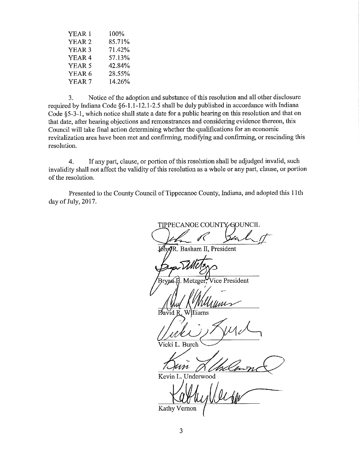| 100%               |  |
|--------------------|--|
| 85.71%             |  |
| 71.42 <sup>%</sup> |  |
| 57.13%             |  |
| 42.84%             |  |
| 28.55%             |  |
| 14.26%             |  |
|                    |  |

3. Notice of the adoption and substance of this resolution and all other disclosure required by Indiana Code §6—1.1—12.1-2.5 shall be duly published in accordance with Indiana Code §5—3—l, which notice shall state <sup>a</sup> date for <sup>a</sup> public hearing on this resolution and that on that date, after hearing objections and remonstrances and considering evidence thereon, this Council will take final action determining whether the qualifications for an economic revitalization area have been met and confirming, modifying and confirming, or rescinding this resolution.

4. If any part, clause, or portion of this resolution shall be adjudged invalid, such invalidity shall not affect the validity of this resolution as a whole or any part, clause, or portion of the resolution.

Presented to the County Council of Tippecanoe County, Indiana, and adopted this 11th day of July, 2017.

TIPPECANOE COUNTY GOUNCIL

MhmR. Basham II, President

ryan H. Metzger, Vice President

 $\mathcal{N} \setminus \mathcal{N}$ David R. Williams

Julie Miller

Yicki L. Burch \w/

tn

Kevin L. Underwood

Kathy Vernon (legger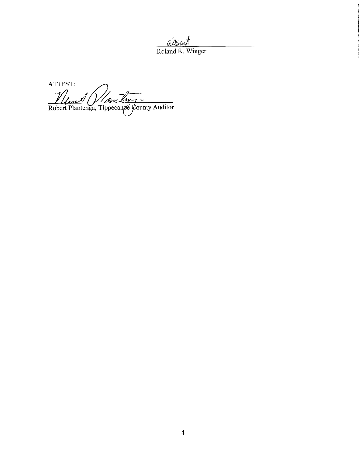$\underline{ab}$ <br>Roland K. Winger

ATTEST: Van Lung e